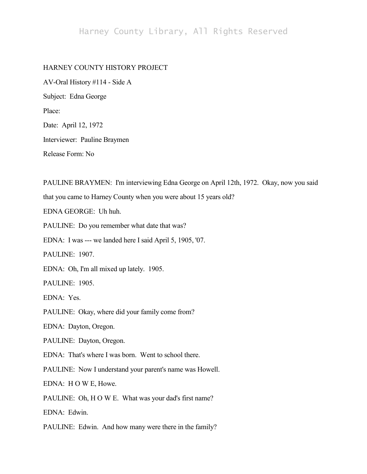## Harney County Library, All Rights Reserved

## HARNEY COUNTY HISTORY PROJECT

AV-Oral History #114 - Side A Subject: Edna George Place: Date: April 12, 1972 Interviewer: Pauline Braymen

Release Form: No

PAULINE BRAYMEN: I'm interviewing Edna George on April 12th, 1972. Okay, now you said that you came to Harney County when you were about 15 years old? EDNA GEORGE: Uh huh. PAULINE: Do you remember what date that was? EDNA: I was --- we landed here I said April 5, 1905, '07. PAULINE: 1907. EDNA: Oh, I'm all mixed up lately. 1905. PAULINE: 1905. EDNA: Yes. PAULINE: Okay, where did your family come from? EDNA: Dayton, Oregon. PAULINE: Dayton, Oregon. EDNA: That's where I was born. Went to school there. PAULINE: Now I understand your parent's name was Howell. EDNA: H O W E, Howe. PAULINE: Oh, H O W E. What was your dad's first name? EDNA: Edwin.

PAULINE: Edwin. And how many were there in the family?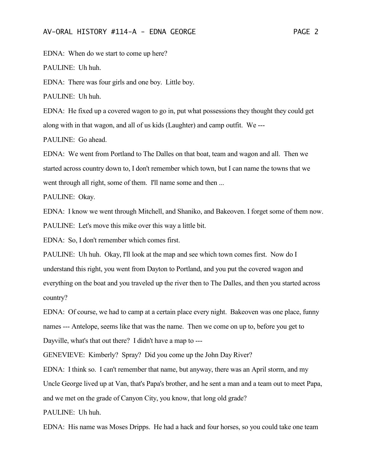EDNA: When do we start to come up here?

PAULINE: Uh huh.

EDNA: There was four girls and one boy. Little boy.

PAULINE: Uh huh.

EDNA: He fixed up a covered wagon to go in, put what possessions they thought they could get along with in that wagon, and all of us kids (Laughter) and camp outfit. We ---

PAULINE: Go ahead.

EDNA: We went from Portland to The Dalles on that boat, team and wagon and all. Then we started across country down to, I don't remember which town, but I can name the towns that we went through all right, some of them. I'll name some and then ...

PAULINE: Okay.

EDNA: I know we went through Mitchell, and Shaniko, and Bakeoven. I forget some of them now. PAULINE: Let's move this mike over this way a little bit.

EDNA: So, I don't remember which comes first.

PAULINE: Uh huh. Okay, I'll look at the map and see which town comes first. Now do I understand this right, you went from Dayton to Portland, and you put the covered wagon and everything on the boat and you traveled up the river then to The Dalles, and then you started across country?

EDNA: Of course, we had to camp at a certain place every night. Bakeoven was one place, funny names --- Antelope, seems like that was the name. Then we come on up to, before you get to Dayville, what's that out there? I didn't have a map to ---

GENEVIEVE: Kimberly? Spray? Did you come up the John Day River?

EDNA: I think so. I can't remember that name, but anyway, there was an April storm, and my Uncle George lived up at Van, that's Papa's brother, and he sent a man and a team out to meet Papa, and we met on the grade of Canyon City, you know, that long old grade?

PAULINE: Uh huh.

EDNA: His name was Moses Dripps. He had a hack and four horses, so you could take one team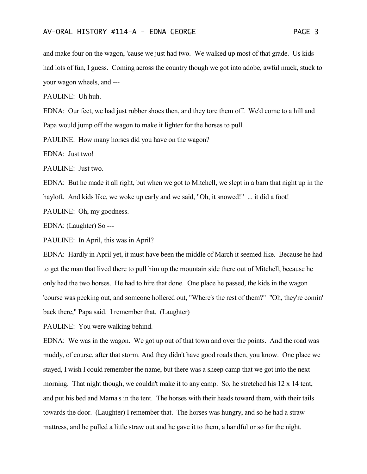and make four on the wagon, 'cause we just had two. We walked up most of that grade. Us kids had lots of fun, I guess. Coming across the country though we got into adobe, awful muck, stuck to your wagon wheels, and ---

PAULINE: Uh huh.

EDNA: Our feet, we had just rubber shoes then, and they tore them off. We'd come to a hill and Papa would jump off the wagon to make it lighter for the horses to pull.

PAULINE: How many horses did you have on the wagon?

EDNA: Just two!

PAULINE: Just two.

EDNA: But he made it all right, but when we got to Mitchell, we slept in a barn that night up in the hayloft. And kids like, we woke up early and we said, "Oh, it snowed!" ... it did a foot!

PAULINE: Oh, my goodness.

EDNA: (Laughter) So ---

PAULINE: In April, this was in April?

EDNA: Hardly in April yet, it must have been the middle of March it seemed like. Because he had to get the man that lived there to pull him up the mountain side there out of Mitchell, because he only had the two horses. He had to hire that done. One place he passed, the kids in the wagon 'course was peeking out, and someone hollered out, "Where's the rest of them?" "Oh, they're comin' back there," Papa said. I remember that. (Laughter)

PAULINE: You were walking behind.

EDNA: We was in the wagon. We got up out of that town and over the points. And the road was muddy, of course, after that storm. And they didn't have good roads then, you know. One place we stayed, I wish I could remember the name, but there was a sheep camp that we got into the next morning. That night though, we couldn't make it to any camp. So, he stretched his 12 x 14 tent, and put his bed and Mama's in the tent. The horses with their heads toward them, with their tails towards the door. (Laughter) I remember that. The horses was hungry, and so he had a straw mattress, and he pulled a little straw out and he gave it to them, a handful or so for the night.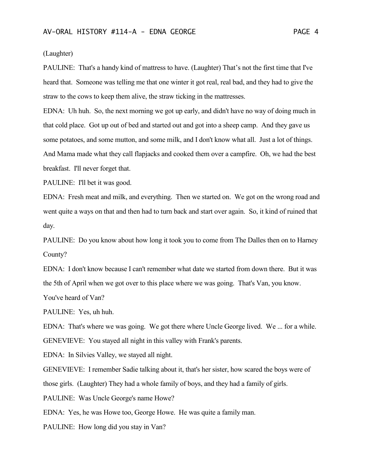(Laughter)

PAULINE: That's a handy kind of mattress to have. (Laughter) That's not the first time that I've heard that. Someone was telling me that one winter it got real, real bad, and they had to give the straw to the cows to keep them alive, the straw ticking in the mattresses.

EDNA: Uh huh. So, the next morning we got up early, and didn't have no way of doing much in that cold place. Got up out of bed and started out and got into a sheep camp. And they gave us some potatoes, and some mutton, and some milk, and I don't know what all. Just a lot of things. And Mama made what they call flapjacks and cooked them over a campfire. Oh, we had the best breakfast. I'll never forget that.

PAULINE: I'll bet it was good.

EDNA: Fresh meat and milk, and everything. Then we started on. We got on the wrong road and went quite a ways on that and then had to turn back and start over again. So, it kind of ruined that day.

PAULINE: Do you know about how long it took you to come from The Dalles then on to Harney County?

EDNA: I don't know because I can't remember what date we started from down there. But it was the 5th of April when we got over to this place where we was going. That's Van, you know.

You've heard of Van?

PAULINE: Yes, uh huh.

EDNA: That's where we was going. We got there where Uncle George lived. We ... for a while. GENEVIEVE: You stayed all night in this valley with Frank's parents.

EDNA: In Silvies Valley, we stayed all night.

GENEVIEVE: I remember Sadie talking about it, that's her sister, how scared the boys were of those girls. (Laughter) They had a whole family of boys, and they had a family of girls.

PAULINE: Was Uncle George's name Howe?

EDNA: Yes, he was Howe too, George Howe. He was quite a family man.

PAULINE: How long did you stay in Van?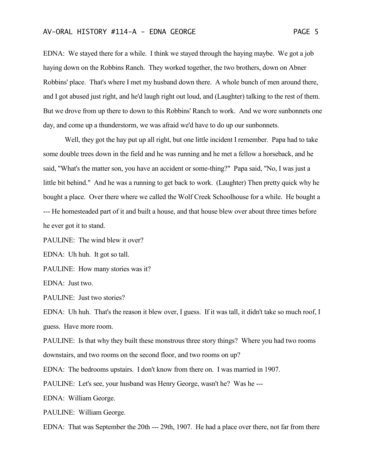EDNA: We stayed there for a while. I think we stayed through the haying maybe. We got a job haying down on the Robbins Ranch. They worked together, the two brothers, down on Abner Robbins' place. That's where I met my husband down there. A whole bunch of men around there, and I got abused just right, and he'd laugh right out loud, and (Laughter) talking to the rest of them. But we drove from up there to down to this Robbins' Ranch to work. And we wore sunbonnets one day, and come up a thunderstorm, we was afraid we'd have to do up our sunbonnets.

Well, they got the hay put up all right, but one little incident I remember. Papa had to take some double trees down in the field and he was running and he met a fellow a horseback, and he said, "What's the matter son, you have an accident or some-thing?" Papa said, "No, I was just a little bit behind." And he was a running to get back to work. (Laughter) Then pretty quick why he bought a place. Over there where we called the Wolf Creek Schoolhouse for a while. He bought a --- He homesteaded part of it and built a house, and that house blew over about three times before he ever got it to stand.

PAULINE: The wind blew it over?

EDNA: Uh huh. It got so tall.

PAULINE: How many stories was it?

EDNA: Just two.

PAULINE: Just two stories?

EDNA: Uh huh. That's the reason it blew over, I guess. If it was tall, it didn't take so much roof, I guess. Have more room.

PAULINE: Is that why they built these monstrous three story things? Where you had two rooms downstairs, and two rooms on the second floor, and two rooms on up?

EDNA: The bedrooms upstairs. I don't know from there on. I was married in 1907.

PAULINE: Let's see, your husband was Henry George, wasn't he? Was he ---

EDNA: William George.

PAULINE: William George.

EDNA: That was September the 20th --- 29th, 1907. He had a place over there, not far from there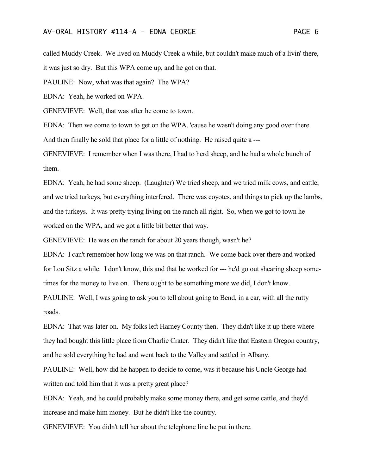called Muddy Creek. We lived on Muddy Creek a while, but couldn't make much of a livin' there,

it was just so dry. But this WPA come up, and he got on that.

PAULINE: Now, what was that again? The WPA?

EDNA: Yeah, he worked on WPA.

GENEVIEVE: Well, that was after he come to town.

EDNA: Then we come to town to get on the WPA, 'cause he wasn't doing any good over there.

And then finally he sold that place for a little of nothing. He raised quite a ---

GENEVIEVE: I remember when I was there, I had to herd sheep, and he had a whole bunch of them.

EDNA: Yeah, he had some sheep. (Laughter) We tried sheep, and we tried milk cows, and cattle, and we tried turkeys, but everything interfered. There was coyotes, and things to pick up the lambs, and the turkeys. It was pretty trying living on the ranch all right. So, when we got to town he worked on the WPA, and we got a little bit better that way.

GENEVIEVE: He was on the ranch for about 20 years though, wasn't he?

EDNA: I can't remember how long we was on that ranch. We come back over there and worked for Lou Sitz a while. I don't know, this and that he worked for --- he'd go out shearing sheep sometimes for the money to live on. There ought to be something more we did, I don't know.

PAULINE: Well, I was going to ask you to tell about going to Bend, in a car, with all the rutty roads.

EDNA: That was later on. My folks left Harney County then. They didn't like it up there where they had bought this little place from Charlie Crater. They didn't like that Eastern Oregon country, and he sold everything he had and went back to the Valley and settled in Albany.

PAULINE: Well, how did he happen to decide to come, was it because his Uncle George had written and told him that it was a pretty great place?

EDNA: Yeah, and he could probably make some money there, and get some cattle, and they'd increase and make him money. But he didn't like the country.

GENEVIEVE: You didn't tell her about the telephone line he put in there.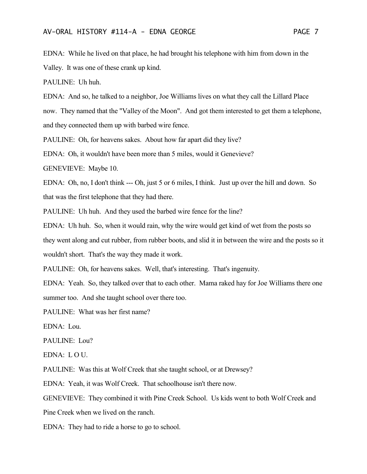EDNA: While he lived on that place, he had brought his telephone with him from down in the Valley. It was one of these crank up kind.

PAULINE: Uh huh.

EDNA: And so, he talked to a neighbor, Joe Williams lives on what they call the Lillard Place now. They named that the "Valley of the Moon". And got them interested to get them a telephone, and they connected them up with barbed wire fence.

PAULINE: Oh, for heavens sakes. About how far apart did they live?

EDNA: Oh, it wouldn't have been more than 5 miles, would it Genevieve?

GENEVIEVE: Maybe 10.

EDNA: Oh, no, I don't think --- Oh, just 5 or 6 miles, I think. Just up over the hill and down. So that was the first telephone that they had there.

PAULINE: Uh huh. And they used the barbed wire fence for the line?

EDNA: Uh huh. So, when it would rain, why the wire would get kind of wet from the posts so they went along and cut rubber, from rubber boots, and slid it in between the wire and the posts so it wouldn't short. That's the way they made it work.

PAULINE: Oh, for heavens sakes. Well, that's interesting. That's ingenuity.

EDNA: Yeah. So, they talked over that to each other. Mama raked hay for Joe Williams there one summer too. And she taught school over there too.

PAULINE: What was her first name?

EDNA: Lou.

PAULINE: Lou?

EDNA: L O U.

PAULINE: Was this at Wolf Creek that she taught school, or at Drewsey?

EDNA: Yeah, it was Wolf Creek. That schoolhouse isn't there now.

GENEVIEVE: They combined it with Pine Creek School. Us kids went to both Wolf Creek and

Pine Creek when we lived on the ranch.

EDNA: They had to ride a horse to go to school.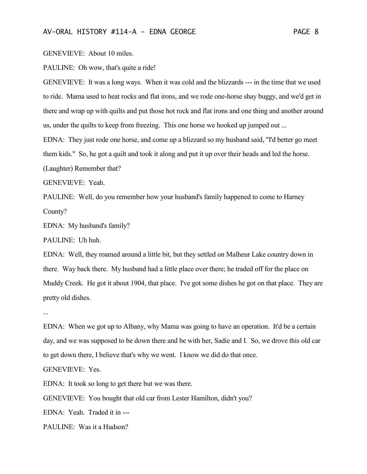GENEVIEVE: About 10 miles.

PAULINE: Oh wow, that's quite a ride!

GENEVIEVE: It was a long ways. When it was cold and the blizzards --- in the time that we used to ride. Mama used to heat rocks and flat irons, and we rode one-horse shay buggy, and we'd get in there and wrap up with quilts and put those hot rock and flat irons and one thing and another around us, under the quilts to keep from freezing. This one horse we hooked up jumped out ...

EDNA: They just rode one horse, and come up a blizzard so my husband said, "I'd better go meet them kids." So, he got a quilt and took it along and put it up over their heads and led the horse.

(Laughter) Remember that?

GENEVIEVE: Yeah.

PAULINE: Well, do you remember how your husband's family happened to come to Harney County?

EDNA: My husband's family?

PAULINE: Uh huh.

EDNA: Well, they roamed around a little bit, but they settled on Malheur Lake country down in there. Way back there. My husband had a little place over there; he traded off for the place on Muddy Creek. He got it about 1904, that place. I've got some dishes he got on that place. They are pretty old dishes.

...

EDNA: When we got up to Albany, why Mama was going to have an operation. It'd be a certain day, and we was supposed to be down there and be with her, Sadie and I. So, we drove this old car to get down there, I believe that's why we went. I know we did do that once.

GENEVIEVE: Yes.

EDNA: It took so long to get there but we was there.

GENEVIEVE: You bought that old car from Lester Hamilton, didn't you?

EDNA: Yeah. Traded it in ---

PAULINE: Was it a Hudson?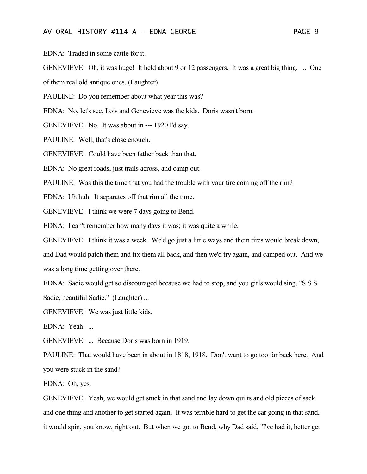EDNA: Traded in some cattle for it.

GENEVIEVE: Oh, it was huge! It held about 9 or 12 passengers. It was a great big thing. ... One

of them real old antique ones. (Laughter)

PAULINE: Do you remember about what year this was?

EDNA: No, let's see, Lois and Genevieve was the kids. Doris wasn't born.

GENEVIEVE: No. It was about in --- 1920 I'd say.

PAULINE: Well, that's close enough.

GENEVIEVE: Could have been father back than that.

EDNA: No great roads, just trails across, and camp out.

PAULINE: Was this the time that you had the trouble with your tire coming off the rim?

EDNA: Uh huh. It separates off that rim all the time.

GENEVIEVE: I think we were 7 days going to Bend.

EDNA: I can't remember how many days it was; it was quite a while.

GENEVIEVE: I think it was a week. We'd go just a little ways and them tires would break down,

and Dad would patch them and fix them all back, and then we'd try again, and camped out. And we was a long time getting over there.

EDNA: Sadie would get so discouraged because we had to stop, and you girls would sing, "S S S Sadie, beautiful Sadie." (Laughter) ...

GENEVIEVE: We was just little kids.

EDNA: Yeah. ...

GENEVIEVE: ... Because Doris was born in 1919.

PAULINE: That would have been in about in 1818, 1918. Don't want to go too far back here. And you were stuck in the sand?

EDNA: Oh, yes.

GENEVIEVE: Yeah, we would get stuck in that sand and lay down quilts and old pieces of sack and one thing and another to get started again. It was terrible hard to get the car going in that sand, it would spin, you know, right out. But when we got to Bend, why Dad said, "I've had it, better get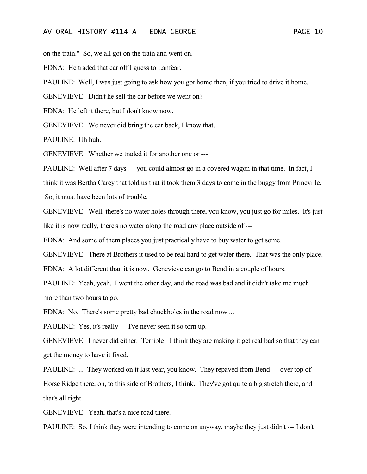on the train." So, we all got on the train and went on.

EDNA: He traded that car off I guess to Lanfear.

PAULINE: Well, I was just going to ask how you got home then, if you tried to drive it home.

GENEVIEVE: Didn't he sell the car before we went on?

EDNA: He left it there, but I don't know now.

GENEVIEVE: We never did bring the car back, I know that.

PAULINE: Uh huh.

GENEVIEVE: Whether we traded it for another one or ---

PAULINE: Well after 7 days --- you could almost go in a covered wagon in that time. In fact, I

think it was Bertha Carey that told us that it took them 3 days to come in the buggy from Prineville.

So, it must have been lots of trouble.

GENEVIEVE: Well, there's no water holes through there, you know, you just go for miles. It's just like it is now really, there's no water along the road any place outside of ---

EDNA: And some of them places you just practically have to buy water to get some.

GENEVIEVE: There at Brothers it used to be real hard to get water there. That was the only place.

EDNA: A lot different than it is now. Genevieve can go to Bend in a couple of hours.

PAULINE: Yeah, yeah. I went the other day, and the road was bad and it didn't take me much more than two hours to go.

EDNA: No. There's some pretty bad chuckholes in the road now ...

PAULINE: Yes, it's really --- I've never seen it so torn up.

GENEVIEVE: I never did either. Terrible! I think they are making it get real bad so that they can get the money to have it fixed.

PAULINE: ... They worked on it last year, you know. They repaved from Bend --- over top of Horse Ridge there, oh, to this side of Brothers, I think. They've got quite a big stretch there, and that's all right.

GENEVIEVE: Yeah, that's a nice road there.

PAULINE: So, I think they were intending to come on anyway, maybe they just didn't --- I don't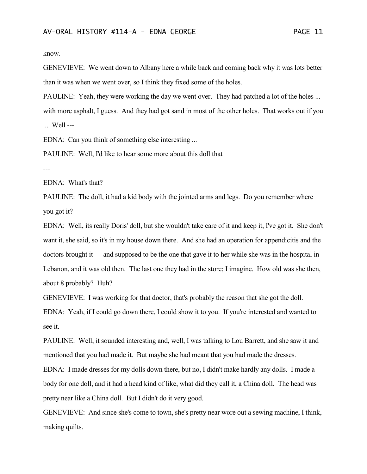know.

GENEVIEVE: We went down to Albany here a while back and coming back why it was lots better than it was when we went over, so I think they fixed some of the holes.

PAULINE: Yeah, they were working the day we went over. They had patched a lot of the holes ... with more asphalt, I guess. And they had got sand in most of the other holes. That works out if you ... Well ---

EDNA: Can you think of something else interesting ...

PAULINE: Well, I'd like to hear some more about this doll that

---

EDNA: What's that?

PAULINE: The doll, it had a kid body with the jointed arms and legs. Do you remember where you got it?

EDNA: Well, its really Doris' doll, but she wouldn't take care of it and keep it, I've got it. She don't want it, she said, so it's in my house down there. And she had an operation for appendicitis and the doctors brought it --- and supposed to be the one that gave it to her while she was in the hospital in Lebanon, and it was old then. The last one they had in the store; I imagine. How old was she then, about 8 probably? Huh?

GENEVIEVE: I was working for that doctor, that's probably the reason that she got the doll.

EDNA: Yeah, if I could go down there, I could show it to you. If you're interested and wanted to see it.

PAULINE: Well, it sounded interesting and, well, I was talking to Lou Barrett, and she saw it and mentioned that you had made it. But maybe she had meant that you had made the dresses.

EDNA: I made dresses for my dolls down there, but no, I didn't make hardly any dolls. I made a body for one doll, and it had a head kind of like, what did they call it, a China doll. The head was pretty near like a China doll. But I didn't do it very good.

GENEVIEVE: And since she's come to town, she's pretty near wore out a sewing machine, I think, making quilts.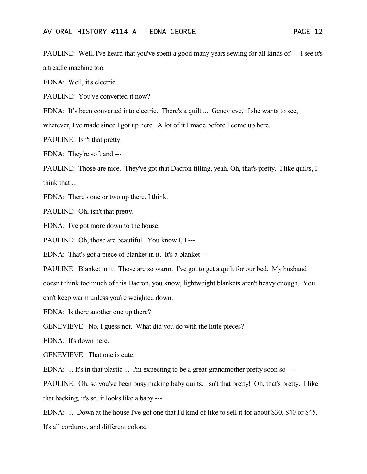PAULINE: Well, I've heard that you've spent a good many years sewing for all kinds of --- I see it's a treadle machine too.

EDNA: Well, it's electric.

PAULINE: You've converted it now?

EDNA: It's been converted into electric. There's a quilt ... Genevieve, if she wants to see,

whatever, I've made since I got up here. A lot of it I made before I come up here.

PAULINE: Isn't that pretty.

EDNA: They're soft and ---

PAULINE: Those are nice. They've got that Dacron filling, yeah. Oh, that's pretty. I like quilts, I think that ...

EDNA: There's one or two up there, I think.

PAULINE: Oh, isn't that pretty.

EDNA: I've got more down to the house.

PAULINE: Oh, those are beautiful. You know I, I ---

EDNA: That's got a piece of blanket in it. It's a blanket ---

PAULINE: Blanket in it. Those are so warm. I've got to get a quilt for our bed. My husband doesn't think too much of this Dacron, you know, lightweight blankets aren't heavy enough. You can't keep warm unless you're weighted down.

EDNA: Is there another one up there?

GENEVIEVE: No, I guess not. What did you do with the little pieces?

EDNA: It's down here.

GENEVIEVE: That one is cute.

EDNA: ... It's in that plastic ... I'm expecting to be a great-grandmother pretty soon so ---

PAULINE: Oh, so you've been busy making baby quilts. Isn't that pretty! Oh, that's pretty. I like that backing, it's so, it looks like a baby ---

EDNA: ... Down at the house I've got one that I'd kind of like to sell it for about \$30, \$40 or \$45. It's all corduroy, and different colors.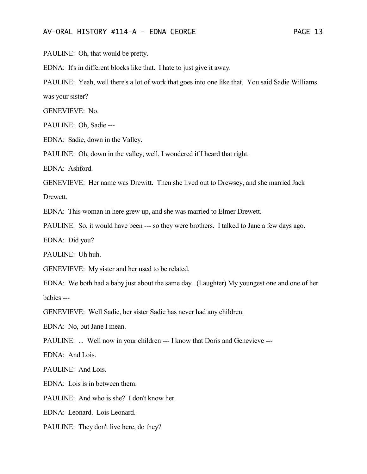PAULINE: Oh, that would be pretty.

EDNA: It's in different blocks like that. I hate to just give it away.

PAULINE: Yeah, well there's a lot of work that goes into one like that. You said Sadie Williams was your sister?

GENEVIEVE: No.

PAULINE: Oh, Sadie ---

EDNA: Sadie, down in the Valley.

PAULINE: Oh, down in the valley, well, I wondered if I heard that right.

EDNA: Ashford.

GENEVIEVE: Her name was Drewitt. Then she lived out to Drewsey, and she married Jack

Drewett.

EDNA: This woman in here grew up, and she was married to Elmer Drewett.

PAULINE: So, it would have been --- so they were brothers. I talked to Jane a few days ago.

EDNA: Did you?

PAULINE: Uh huh.

GENEVIEVE: My sister and her used to be related.

EDNA: We both had a baby just about the same day. (Laughter) My youngest one and one of her babies ---

GENEVIEVE: Well Sadie, her sister Sadie has never had any children.

EDNA: No, but Jane I mean.

PAULINE: ... Well now in your children --- I know that Doris and Genevieve ---

EDNA: And Lois.

PAULINE: And Lois.

EDNA: Lois is in between them.

PAULINE: And who is she? I don't know her.

EDNA: Leonard. Lois Leonard.

PAULINE: They don't live here, do they?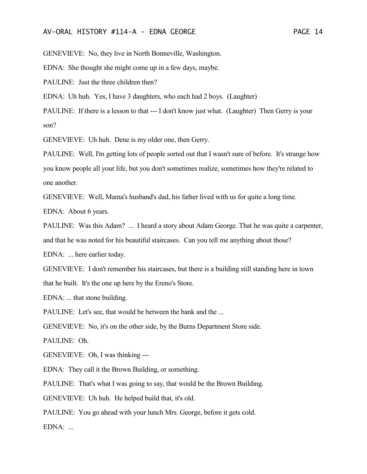GENEVIEVE: No, they live in North Bonneville, Washington.

EDNA: She thought she might come up in a few days, maybe.

PAULINE: Just the three children then?

EDNA: Uh huh. Yes, I have 3 daughters, who each had 2 boys. (Laughter)

PAULINE: If there is a lesson to that --- I don't know just what. (Laughter) Then Gerry is your son?

GENEVIEVE: Uh huh. Dene is my older one, then Gerry.

PAULINE: Well, I'm getting lots of people sorted out that I wasn't sure of before. It's strange how you know people all your life, but you don't sometimes realize, sometimes how they're related to one another.

GENEVIEVE: Well, Mama's husband's dad, his father lived with us for quite a long time.

EDNA: About 6 years.

PAULINE: Was this Adam? ... I heard a story about Adam George. That he was quite a carpenter, and that he was noted for his beautiful staircases. Can you tell me anything about those?

EDNA: ... here earlier today.

GENEVIEVE: I don't remember his staircases, but there is a building still standing here in town that he built. It's the one up here by the Ereno's Store.

EDNA: ... that stone building.

PAULINE: Let's see, that would be between the bank and the ...

GENEVIEVE: No, it's on the other side, by the Burns Department Store side.

PAULINE: Oh.

GENEVIEVE: Oh, I was thinking ---

EDNA: They call it the Brown Building, or something.

PAULINE: That's what I was going to say, that would be the Brown Building.

GENEVIEVE: Uh huh. He helped build that, it's old.

PAULINE: You go ahead with your lunch Mrs. George, before it gets cold.

 $EDNA:$ ...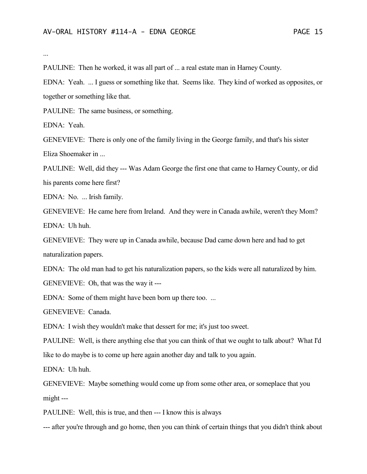...

PAULINE: Then he worked, it was all part of ... a real estate man in Harney County.

EDNA: Yeah. ... I guess or something like that. Seems like. They kind of worked as opposites, or together or something like that.

PAULINE: The same business, or something.

EDNA: Yeah.

GENEVIEVE: There is only one of the family living in the George family, and that's his sister Eliza Shoemaker in ...

PAULINE: Well, did they --- Was Adam George the first one that came to Harney County, or did his parents come here first?

EDNA: No. ... Irish family.

GENEVIEVE: He came here from Ireland. And they were in Canada awhile, weren't they Mom? EDNA: Uh huh.

GENEVIEVE: They were up in Canada awhile, because Dad came down here and had to get naturalization papers.

EDNA: The old man had to get his naturalization papers, so the kids were all naturalized by him. GENEVIEVE: Oh, that was the way it ---

EDNA: Some of them might have been born up there too. ...

GENEVIEVE: Canada.

EDNA: I wish they wouldn't make that dessert for me; it's just too sweet.

PAULINE: Well, is there anything else that you can think of that we ought to talk about? What I'd like to do maybe is to come up here again another day and talk to you again.

EDNA: Uh huh.

GENEVIEVE: Maybe something would come up from some other area, or someplace that you might ---

PAULINE: Well, this is true, and then --- I know this is always

--- after you're through and go home, then you can think of certain things that you didn't think about